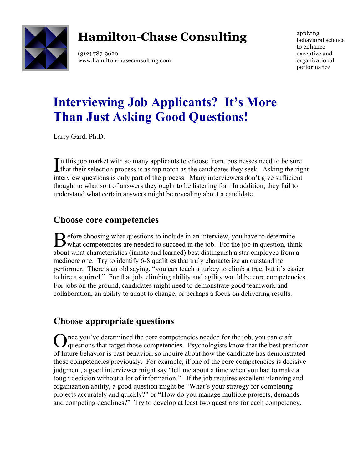

## **Hamilton-Chase Consulting**

(312) 787-9620 www.hamiltonchaseconsulting.com applying behavioral science to enhance executive and organizational performance

# **Interviewing Job Applicants? It's More Than Just Asking Good Questions!**

Larry Gard, Ph.D.

n this job market with so many applicants to choose from, businesses need to be sure In this job market with so many applicants to choose from, businesses need to be sure that their selection process is as top notch as the candidates they seek. Asking the right interview questions is only part of the process. Many interviewers don't give sufficient thought to what sort of answers they ought to be listening for. In addition, they fail to understand what certain answers might be revealing about a candidate.

### **Choose core competencies**

**D** efore choosing what questions to include in an interview, you have to determine Before choosing what questions to include in an interview, you have to determine what competencies are needed to succeed in the job. For the job in question, think about what characteristics (innate and learned) best distinguish a star employee from a mediocre one. Try to identify 6-8 qualities that truly characterize an outstanding performer. There's an old saying, "you can teach a turkey to climb a tree, but it's easier to hire a squirrel." For that job, climbing ability and agility would be core competencies. For jobs on the ground, candidates might need to demonstrate good teamwork and collaboration, an ability to adapt to change, or perhaps a focus on delivering results.

## **Choose appropriate questions**

nce you've determined the core competencies needed for the job, you can craft Once you've determined the core competencies needed for the job, you can craft questions that target those competencies. Psychologists know that the best predictor of future behavior is past behavior, so inquire about how the candidate has demonstrated those competencies previously. For example, if one of the core competencies is decisive judgment, a good interviewer might say "tell me about a time when you had to make a tough decision without a lot of information." If the job requires excellent planning and organization ability, a good question might be "What's your strategy for completing projects accurately and quickly?" or **"**How do you manage multiple projects, demands and competing deadlines?" Try to develop at least two questions for each competency.